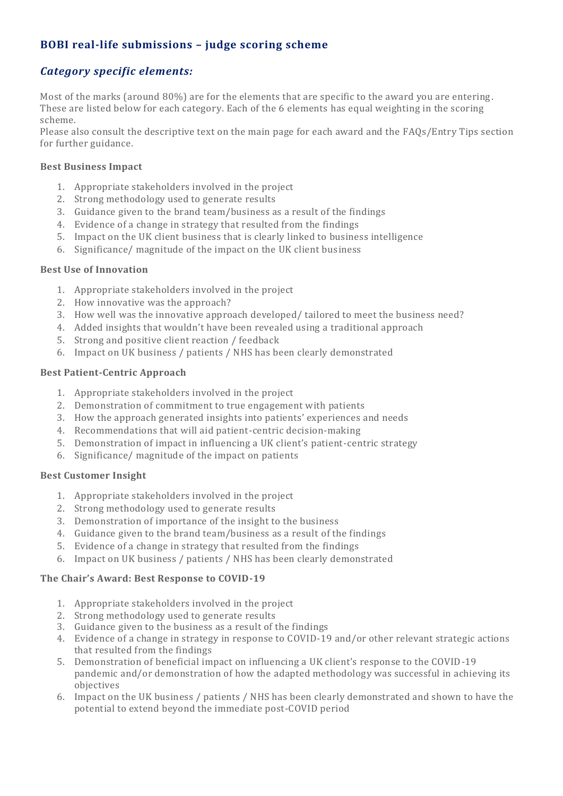# **BOBI real-life submissions – judge scoring scheme**

## *Category specific elements:*

Most of the marks (around 80%) are for the elements that are specific to the award you are entering. These are listed below for each category. Each of the 6 elements has equal weighting in the scoring scheme.

Please also consult the descriptive text on the main page for each award and the FAQs/Entry Tips section for further guidance.

### **Best Business Impact**

- 1. Appropriate stakeholders involved in the project
- 2. Strong methodology used to generate results
- 3. Guidance given to the brand team/business as a result of the findings
- 4. Evidence of a change in strategy that resulted from the findings
- 5. Impact on the UK client business that is clearly linked to business intelligence
- 6. Significance/ magnitude of the impact on the UK client business

#### **Best Use of Innovation**

- 1. Appropriate stakeholders involved in the project
- 2. How innovative was the approach?
- 3. How well was the innovative approach developed/ tailored to meet the business need?
- 4. Added insights that wouldn't have been revealed using a traditional approach
- 5. Strong and positive client reaction / feedback
- 6. Impact on UK business / patients / NHS has been clearly demonstrated

### **Best Patient-Centric Approach**

- 1. Appropriate stakeholders involved in the project
- 2. Demonstration of commitment to true engagement with patients
- 3. How the approach generated insights into patients' experiences and needs
- 4. Recommendations that will aid patient-centric decision-making
- 5. Demonstration of impact in influencing a UK client's patient-centric strategy
- 6. Significance/ magnitude of the impact on patients

#### **Best Customer Insight**

- 1. Appropriate stakeholders involved in the project
- 2. Strong methodology used to generate results
- 3. Demonstration of importance of the insight to the business
- 4. Guidance given to the brand team/business as a result of the findings
- 5. Evidence of a change in strategy that resulted from the findings
- 6. Impact on UK business / patients / NHS has been clearly demonstrated

## **The Chair's Award: Best Response to COVID-19**

- 1. Appropriate stakeholders involved in the project
- 2. Strong methodology used to generate results
- 3. Guidance given to the business as a result of the findings
- 4. Evidence of a change in strategy in response to COVID-19 and/or other relevant strategic actions that resulted from the findings
- 5. Demonstration of beneficial impact on influencing a UK client's response to the COVID-19 pandemic and/or demonstration of how the adapted methodology was successful in achieving its objectives
- 6. Impact on the UK business / patients / NHS has been clearly demonstrated and shown to have the potential to extend beyond the immediate post-COVID period